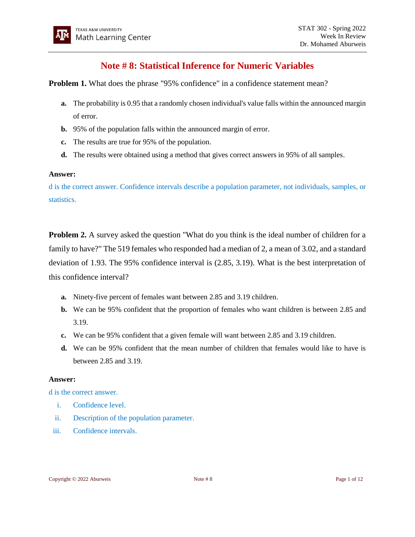# **Note # 8: Statistical Inference for Numeric Variables**

**Problem 1.** What does the phrase "95% confidence" in a confidence statement mean?

- **a.** The probability is 0.95 that a randomly chosen individual's value falls within the announced margin of error.
- **b.** 95% of the population falls within the announced margin of error.
- **c.** The results are true for 95% of the population.
- **d.** The results were obtained using a method that gives correct answers in 95% of all samples.

#### **Answer:**

d is the correct answer. Confidence intervals describe a population parameter, not individuals, samples, or statistics.

**Problem 2.** A survey asked the question "What do you think is the ideal number of children for a family to have?" The 519 females who responded had a median of 2, a mean of 3.02, and a standard deviation of 1.93. The 95% confidence interval is (2.85, 3.19). What is the best interpretation of this confidence interval?

- **a.** Ninety-five percent of females want between 2.85 and 3.19 children.
- **b.** We can be 95% confident that the proportion of females who want children is between 2.85 and 3.19.
- **c.** We can be 95% confident that a given female will want between 2.85 and 3.19 children.
- **d.** We can be 95% confident that the mean number of children that females would like to have is between 2.85 and 3.19.

#### **Answer:**

d is the correct answer.

- i. Confidence level.
- ii. Description of the population parameter.
- iii. Confidence intervals.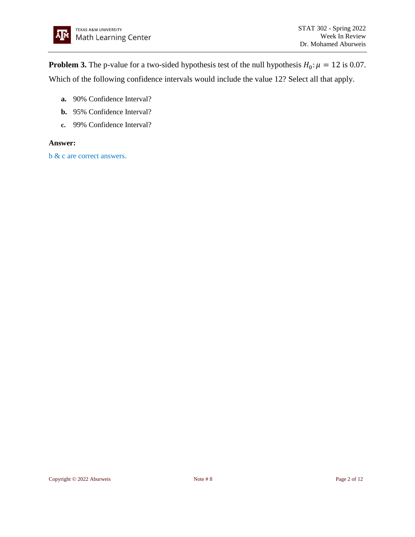**Problem 3.** The p-value for a two-sided hypothesis test of the null hypothesis  $H_0: \mu = 12$  is 0.07. Which of the following confidence intervals would include the value 12? Select all that apply.

- **a.** 90% Confidence Interval?
- **b.** 95% Confidence Interval?
- **c.** 99% Confidence Interval?

#### **Answer:**

b & c are correct answers.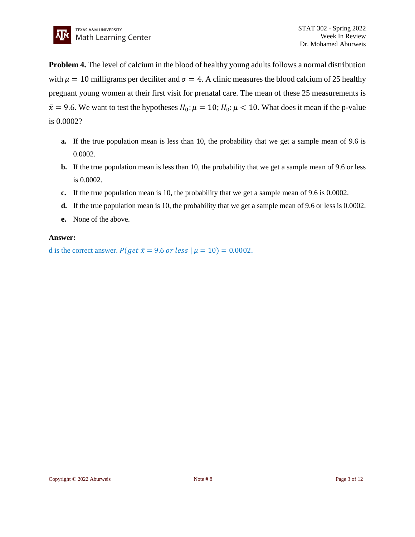**Problem 4.** The level of calcium in the blood of healthy young adults follows a normal distribution with  $\mu = 10$  milligrams per deciliter and  $\sigma = 4$ . A clinic measures the blood calcium of 25 healthy pregnant young women at their first visit for prenatal care. The mean of these 25 measurements is  $\bar{x}$  = 9.6. We want to test the hypotheses  $H_0: \mu = 10$ ;  $H_0: \mu < 10$ . What does it mean if the p-value is 0.0002?

- **a.** If the true population mean is less than 10, the probability that we get a sample mean of 9.6 is 0.0002.
- **b.** If the true population mean is less than 10, the probability that we get a sample mean of 9.6 or less is 0.0002.
- **c.** If the true population mean is 10, the probability that we get a sample mean of 9.6 is 0.0002.
- **d.** If the true population mean is 10, the probability that we get a sample mean of 9.6 or less is 0.0002.
- **e.** None of the above.

#### **Answer:**

d is the correct answer.  $P(\text{get } \bar{x} = 9.6 \text{ or } \text{less } | \mu = 10) = 0.0002$ .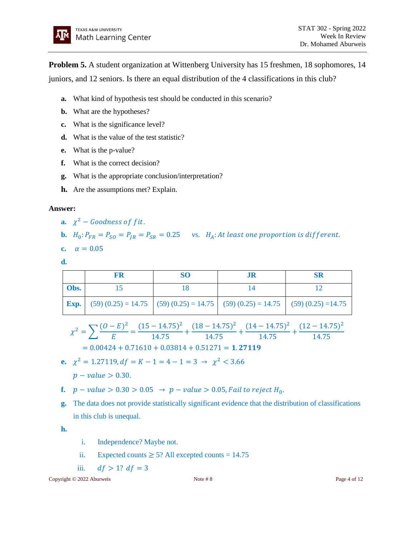**Problem 5.** A student organization at Wittenberg University has 15 freshmen, 18 sophomores, 14 juniors, and 12 seniors. Is there an equal distribution of the 4 classifications in this club?

- **a.** What kind of hypothesis test should be conducted in this scenario?
- **b.** What are the hypotheses?
- **c.** What is the significance level?
- **d.** What is the value of the test statistic?
- **e.** What is the p-value?
- **f.** What is the correct decision?
- **g.** What is the appropriate conclusion/interpretation?
- **h.** Are the assumptions met? Explain.

# **Answer:**

- **a.**  $\chi^2$  Goodness of fit.
- **b.**  $H_0: P_{FR} = P_{SO} = P_{IR} = P_{SR} = 0.25$  vs.  $H_A: At least one proportion is different.$

$$
c. \quad \alpha=0.05
$$

**d.**

|      |                                                                                                     | SO |  |
|------|-----------------------------------------------------------------------------------------------------|----|--|
| Obs. |                                                                                                     |    |  |
|      | <b>Exp.</b> (59) $(0.25) = 14.75$ (59) $(0.25) = 14.75$ (59) $(0.25) = 14.75$ (59) $(0.25) = 14.75$ |    |  |

$$
\chi^2 = \sum \frac{(O - E)^2}{E} = \frac{(15 - 14.75)^2}{14.75} + \frac{(18 - 14.75)^2}{14.75} + \frac{(14 - 14.75)^2}{14.75} + \frac{(12 - 14.75)^2}{14.75}
$$

$$
= 0.00424 + 0.71610 + 0.03814 + 0.51271 = 1.27119
$$

- **e.**  $\chi^2 = 1.27119$ ,  $df = K 1 = 4 1 = 3 \rightarrow \chi^2 < 3.66$  $p - value > 0.30$ .
- **f.**  $p value > 0.30 > 0.05 → p value > 0.05$ , Fail to reject H<sub>0</sub>.
- **g.** The data does not provide statistically significant evidence that the distribution of classifications in this club is unequal.

**h.**

- i. Independence? Maybe not.
- ii. Expected counts  $\geq$  5? All excepted counts = 14.75
- iii.  $df > 1? df = 3$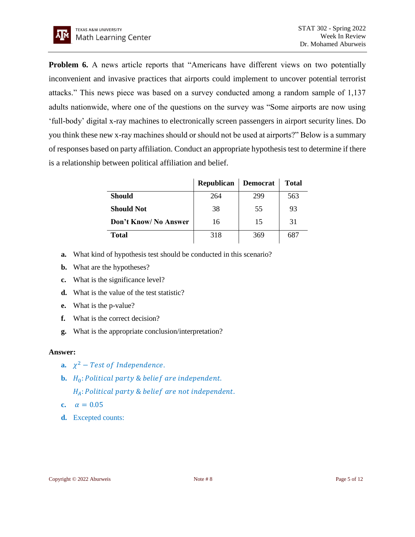**Problem 6.** A news article reports that "Americans have different views on two potentially inconvenient and invasive practices that airports could implement to uncover potential terrorist attacks." This news piece was based on a survey conducted among a random sample of 1,137 adults nationwide, where one of the questions on the survey was "Some airports are now using 'full-body' digital x-ray machines to electronically screen passengers in airport security lines. Do you think these new x-ray machines should or should not be used at airports?" Below is a summary of responses based on party affiliation. Conduct an appropriate hypothesis test to determine if there is a relationship between political affiliation and belief.

|                       | <b>Republican</b> | <b>Democrat</b> | <b>Total</b> |
|-----------------------|-------------------|-----------------|--------------|
| <b>Should</b>         | 264               | 299             | 563          |
| <b>Should Not</b>     | 38                | 55              | 93           |
| Don't Know/ No Answer | 16                | 15              | 31           |
| <b>Total</b>          | 318               | 369             | 687          |

- **a.** What kind of hypothesis test should be conducted in this scenario?
- **b.** What are the hypotheses?
- **c.** What is the significance level?
- **d.** What is the value of the test statistic?
- **e.** What is the p-value?
- **f.** What is the correct decision?
- **g.** What is the appropriate conclusion/interpretation?

# **Answer:**

- **a.**  $\chi^2$  Test of Independence.
- **b.**  $H_0$ : Political party & belief are independent.
	- $H_A$ : Political party & belief are not independent.
- **c.**  $\alpha = 0.05$
- **d.** Excepted counts: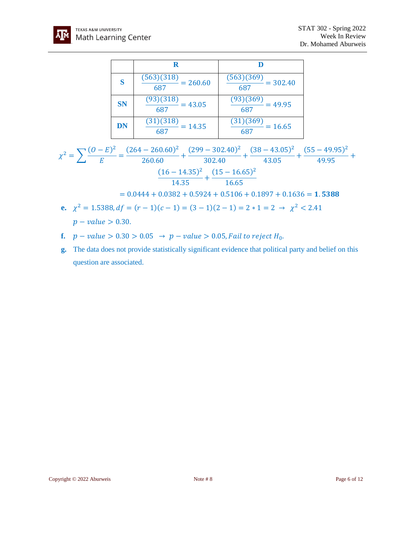

|           | R                                          |                                            |
|-----------|--------------------------------------------|--------------------------------------------|
| S         | $\frac{(563)(318)}{687} = 260.60$          | $\frac{(563)(369)}{687} = 302.40$          |
| <b>SN</b> | $\frac{(93)(318)}{125} = 43.05$<br>687     | $\frac{(93)(369)}{165} = 49.95$<br>687     |
| <b>DN</b> | $\frac{(31)(\overline{318})}{687} = 14.35$ | $\frac{(31)(\overline{369})}{687} = 16.65$ |

$$
\chi^2 = \sum \frac{(O-E)^2}{E} = \frac{(264 - 260.60)^2}{260.60} + \frac{(299 - 302.40)^2}{302.40} + \frac{(38 - 43.05)^2}{43.05} + \frac{(55 - 49.95)^2}{49.95} + \frac{(16 - 14.35)^2}{14.35} + \frac{(15 - 16.65)^2}{16.65}
$$

$$
= 0.0444 + 0.0382 + 0.5924 + 0.5106 + 0.1897 + 0.1636 = 1.5388
$$

**e.** 
$$
\chi^2 = 1.5388
$$
,  $df = (r - 1)(c - 1) = (3 - 1)(2 - 1) = 2 * 1 = 2 \rightarrow \chi^2 < 2.41$   
\n $p - value > 0.30$ .

- **f.**  $p value > 0.30 > 0.05 → p value > 0.05$ , Fail to reject H<sub>0</sub>.
- **g.** The data does not provide statistically significant evidence that political party and belief on this question are associated.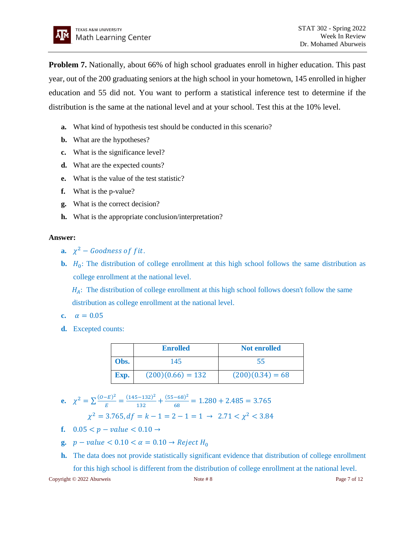**Problem 7.** Nationally, about 66% of high school graduates enroll in higher education. This past year, out of the 200 graduating seniors at the high school in your hometown, 145 enrolled in higher education and 55 did not. You want to perform a statistical inference test to determine if the distribution is the same at the national level and at your school. Test this at the 10% level.

- **a.** What kind of hypothesis test should be conducted in this scenario?
- **b.** What are the hypotheses?
- **c.** What is the significance level?
- **d.** What are the expected counts?
- **e.** What is the value of the test statistic?
- **f.** What is the p-value?
- **g.** What is the correct decision?
- **h.** What is the appropriate conclusion/interpretation?

#### **Answer:**

- **a.**  $\chi^2$  Goodness of fit.
- **b.**  $H_0$ : The distribution of college enrollment at this high school follows the same distribution as college enrollment at the national level.

 $H_A$ : The distribution of college enrollment at this high school follows doesn't follow the same distribution as college enrollment at the national level.

- **c.**  $\alpha = 0.05$
- **d.** Excepted counts:

|      | <b>Enrolled</b>     | <b>Not enrolled</b> |
|------|---------------------|---------------------|
| Obs. | 145                 | 55                  |
| Exp. | $(200)(0.66) = 132$ | $(200)(0.34) = 68$  |

**e.** 
$$
\chi^2 = \sum \frac{(0-E)^2}{E} = \frac{(145-132)^2}{132} + \frac{(55-68)^2}{68} = 1.280 + 2.485 = 3.765
$$

$$
\chi^2 = 3.765, df = k - 1 = 2 - 1 = 1 \rightarrow 2.71 < \chi^2 < 3.84
$$

- **f.**  $0.05 < p value < 0.10 \rightarrow$
- **g.**  $p value < 0.10 < \alpha = 0.10 \rightarrow Reject H_0$
- **h.** The data does not provide statistically significant evidence that distribution of college enrollment for this high school is different from the distribution of college enrollment at the national level.

Copyright © 2022 Aburweis Note # 8 Page 7 of 12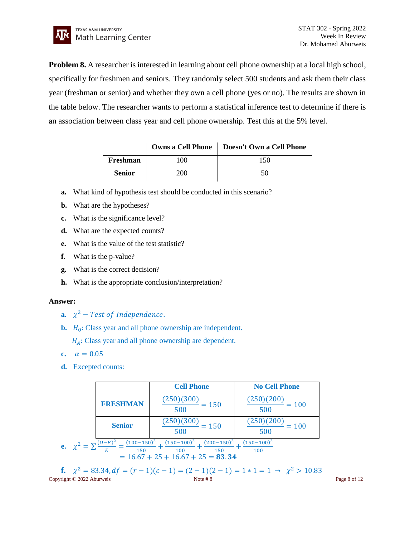**Problem 8.** A researcher is interested in learning about cell phone ownership at a local high school, specifically for freshmen and seniors. They randomly select 500 students and ask them their class year (freshman or senior) and whether they own a cell phone (yes or no). The results are shown in the table below. The researcher wants to perform a statistical inference test to determine if there is an association between class year and cell phone ownership. Test this at the 5% level.

|               |      | Owns a Cell Phone   Doesn't Own a Cell Phone |
|---------------|------|----------------------------------------------|
| Freshman      | 100  | 150                                          |
| <b>Senior</b> | 200- | 50                                           |

- **a.** What kind of hypothesis test should be conducted in this scenario?
- **b.** What are the hypotheses?
- **c.** What is the significance level?
- **d.** What are the expected counts?
- **e.** What is the value of the test statistic?
- **f.** What is the p-value?
- **g.** What is the correct decision?
- **h.** What is the appropriate conclusion/interpretation?

# **Answer:**

- **a.**  $\chi^2$  Test of Independence.
- **b.**  $H_0$ : Class year and all phone ownership are independent.

 $H_A$ : Class year and all phone ownership are dependent.

- **c.**  $\alpha = 0.05$
- **d.** Excepted counts:

|                                                                                                                                                                                        |                 | <b>Cell Phone</b>                        | <b>No Cell Phone</b>                |  |
|----------------------------------------------------------------------------------------------------------------------------------------------------------------------------------------|-----------------|------------------------------------------|-------------------------------------|--|
|                                                                                                                                                                                        | <b>FRESHMAN</b> | (250)(300)<br>$= 150$<br>500             | $\frac{(250)(200)}{2} = 100$<br>500 |  |
|                                                                                                                                                                                        | <b>Senior</b>   | (250)(300)<br>$\frac{2}{1}$ = 150<br>500 | (250)(200)<br>$= 100$<br>500        |  |
| <b>e.</b> $\chi^2 = \sum \frac{(O-E)^2}{E} = \frac{(100-150)^2}{150} +$<br>$(150-100)^2$<br>$(200-150)^2$<br>$(150-100)^2$<br>100<br>150<br>100<br>$= 16.67 + 25 + 16.67 + 25 = 83.34$ |                 |                                          |                                     |  |

Copyright © 2022 Aburweis Page 8 of 12 **f.**  $\chi^2 = 83.34, df = (r - 1)(c - 1) = (2 - 1)(2 - 1) = 1 * 1 = 1 → \chi^2 > 10.83$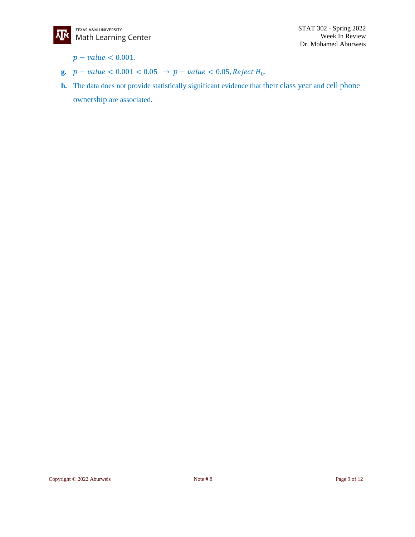

 $p - value < 0.001$ .

- **g.**  $p value < 0.001 < 0.05 \rightarrow p value < 0.05$ , Reject H<sub>0</sub>.
- **h.** The data does not provide statistically significant evidence that their class year and cell phone ownership are associated.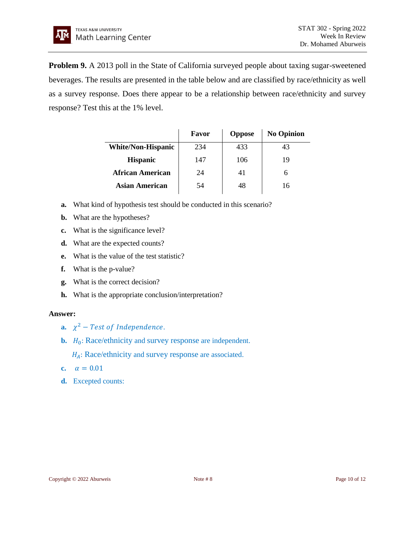**Problem 9.** A 2013 poll in the State of California surveyed people about taxing sugar-sweetened beverages. The results are presented in the table below and are classified by race/ethnicity as well as a survey response. Does there appear to be a relationship between race/ethnicity and survey response? Test this at the 1% level.

|                           | Favor | <b>Oppose</b> | <b>No Opinion</b> |
|---------------------------|-------|---------------|-------------------|
| <b>White/Non-Hispanic</b> | 234   | 433           | 43                |
| <b>Hispanic</b>           | 147   | 106           | 19                |
| African American          | 24    | 41            |                   |
| Asian American            | 54    | 48            | 16                |

- **a.** What kind of hypothesis test should be conducted in this scenario?
- **b.** What are the hypotheses?
- **c.** What is the significance level?
- **d.** What are the expected counts?
- **e.** What is the value of the test statistic?
- **f.** What is the p-value?
- **g.** What is the correct decision?
- **h.** What is the appropriate conclusion/interpretation?

# **Answer:**

- **a.**  $\chi^2$  Test of Independence.
- **b.**  $H_0$ : Race/ethnicity and survey response are independent.

 $H_A$ : Race/ethnicity and survey response are associated.

- **c.**  $\alpha = 0.01$
- **d.** Excepted counts: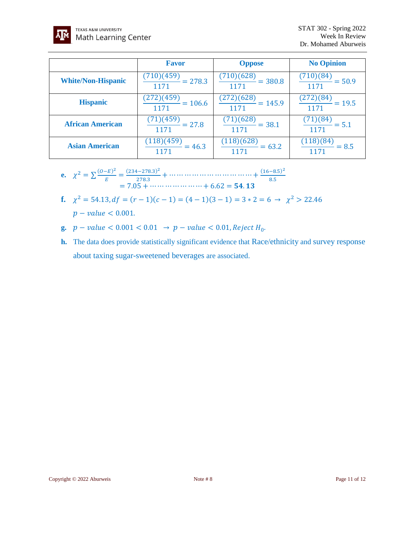

|                           | <b>Favor</b>                              | <b>Oppose</b>                          | <b>No Opinion</b>                |
|---------------------------|-------------------------------------------|----------------------------------------|----------------------------------|
| <b>White/Non-Hispanic</b> | $\frac{(710)(459)}{1171} = 278.3$         | $\frac{(710)(628)}{2} = 380.8$<br>1171 | (710)(84)<br>$= 50.9$<br>1171    |
| <b>Hispanic</b>           | $\frac{(272)(459)}{1000} = 106.6$<br>1171 | $\frac{(272)(628)}{2} = 145.9$<br>1171 | (272)(84)<br>$= 19.5$<br>1171    |
| <b>African American</b>   | $\frac{(71)(459)}{27.8}$<br>1171          | $\frac{(71)(628)}{2} = 38.1$<br>1171   | (1)(84)<br>$= 5.1$<br>1171       |
| <b>Asian American</b>     | $\frac{(118)(459)}{1171} = 46.3$          | $\frac{(118)(628)}{1171} = 63.2$       | $\frac{(118)(84)}{2}$<br>$= 8.5$ |

e. 
$$
\chi^2 = \sum \frac{(O-E)^2}{E} = \frac{(234-278.3)^2}{278.3} + \cdots + 6.62 = 54.13
$$
  
= 7.05 + \cdots + 6.62 = 54.13

- **f.**  $\chi^2 = 54.13$ ,  $df = (r 1)(c 1) = (4 1)(3 1) = 3 \times 2 = 6 \rightarrow \chi^2 > 22.46$  $p - value < 0.001$ .
- **g.**  $p value < 0.001 < 0.01 \rightarrow p value < 0.01$ , Reject H<sub>0</sub>.
- **h.** The data does provide statistically significant evidence that Race/ethnicity and survey response about taxing sugar-sweetened beverages are associated.